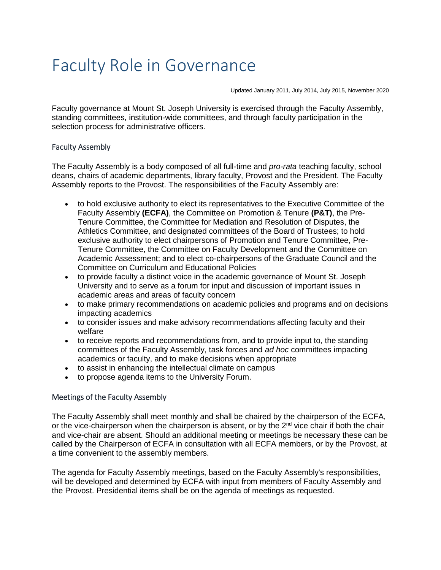## Faculty Role in Governance

Updated January 2011, July 2014, July 2015, November 2020

Faculty governance at Mount St. Joseph University is exercised through the Faculty Assembly, standing committees, institution-wide committees, and through faculty participation in the selection process for administrative officers.

## Faculty Assembly

The Faculty Assembly is a body composed of all full-time and *pro-rata* teaching faculty, school deans, chairs of academic departments, library faculty, Provost and the President. The Faculty Assembly reports to the Provost. The responsibilities of the Faculty Assembly are:

- to hold exclusive authority to elect its representatives to the Executive Committee of the Faculty Assembly **(ECFA)**, the Committee on Promotion & Tenure **(P&T)**, the Pre-Tenure Committee, the Committee for Mediation and Resolution of Disputes, the Athletics Committee, and designated committees of the Board of Trustees; to hold exclusive authority to elect chairpersons of Promotion and Tenure Committee, Pre-Tenure Committee, the Committee on Faculty Development and the Committee on Academic Assessment; and to elect co-chairpersons of the Graduate Council and the Committee on Curriculum and Educational Policies
- to provide faculty a distinct voice in the academic governance of Mount St. Joseph University and to serve as a forum for input and discussion of important issues in academic areas and areas of faculty concern
- to make primary recommendations on academic policies and programs and on decisions impacting academics
- to consider issues and make advisory recommendations affecting faculty and their welfare
- to receive reports and recommendations from, and to provide input to, the standing committees of the Faculty Assembly, task forces and *ad hoc* committees impacting academics or faculty, and to make decisions when appropriate
- to assist in enhancing the intellectual climate on campus
- to propose agenda items to the University Forum.

## Meetings of the Faculty Assembly

The Faculty Assembly shall meet monthly and shall be chaired by the chairperson of the ECFA, or the vice-chairperson when the chairperson is absent, or by the 2<sup>nd</sup> vice chair if both the chair and vice-chair are absent. Should an additional meeting or meetings be necessary these can be called by the Chairperson of ECFA in consultation with all ECFA members, or by the Provost, at a time convenient to the assembly members.

The agenda for Faculty Assembly meetings, based on the Faculty Assembly's responsibilities, will be developed and determined by ECFA with input from members of Faculty Assembly and the Provost. Presidential items shall be on the agenda of meetings as requested.